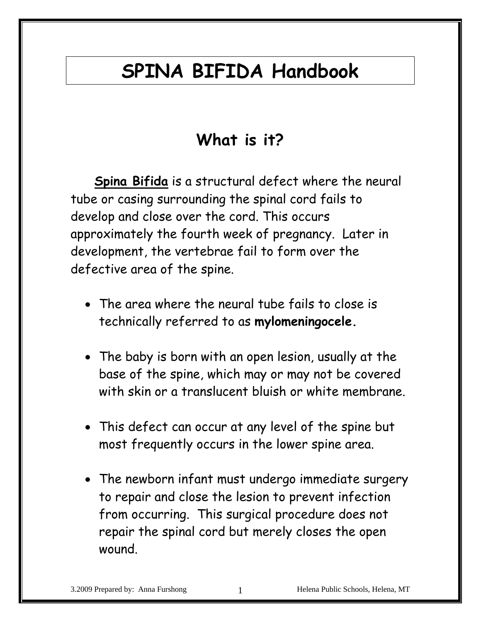# **SPINA BIFIDA Handbook**

# **What is it?**

 **Spina Bifida** is a structural defect where the neural tube or casing surrounding the spinal cord fails to develop and close over the cord. This occurs approximately the fourth week of pregnancy. Later in development, the vertebrae fail to form over the defective area of the spine.

- The area where the neural tube fails to close is technically referred to as **mylomeningocele.**
- The baby is born with an open lesion, usually at the base of the spine, which may or may not be covered with skin or a translucent bluish or white membrane.
- This defect can occur at any level of the spine but most frequently occurs in the lower spine area.
- The newborn infant must undergo immediate surgery to repair and close the lesion to prevent infection from occurring. This surgical procedure does not repair the spinal cord but merely closes the open wound.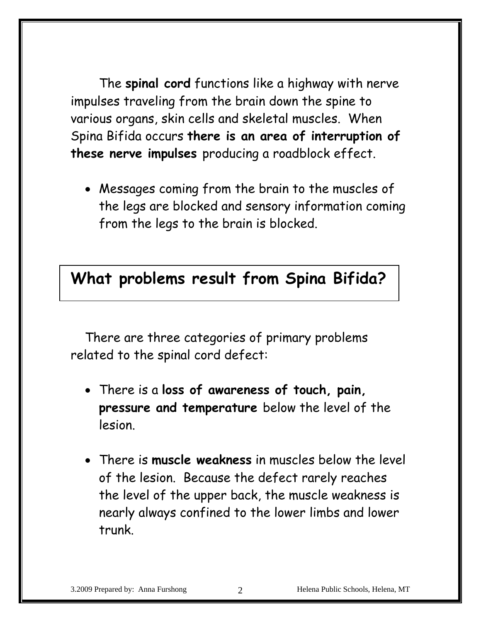The **spinal cord** functions like a highway with nerve impulses traveling from the brain down the spine to various organs, skin cells and skeletal muscles. When Spina Bifida occurs **there is an area of interruption of these nerve impulses** producing a roadblock effect.

• Messages coming from the brain to the muscles of the legs are blocked and sensory information coming from the legs to the brain is blocked.

#### **What problems result from Spina Bifida?**

There are three categories of primary problems related to the spinal cord defect:

- There is a **loss of awareness of touch, pain, pressure and temperature** below the level of the lesion.
- There is **muscle weakness** in muscles below the level of the lesion. Because the defect rarely reaches the level of the upper back, the muscle weakness is nearly always confined to the lower limbs and lower trunk.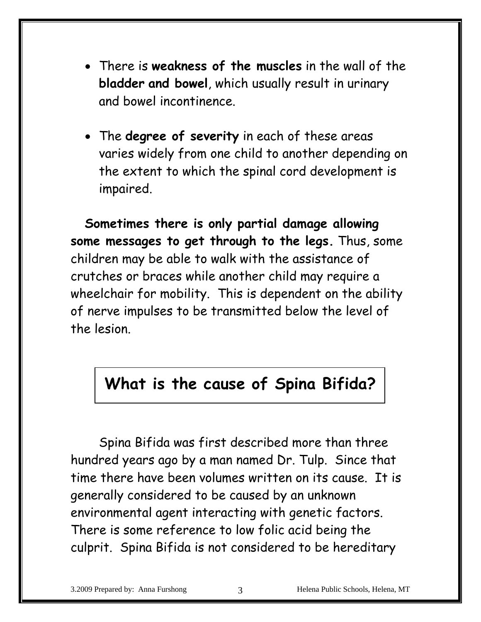- There is **weakness of the muscles** in the wall of the **bladder and bowel**, which usually result in urinary and bowel incontinence.
- The **degree of severity** in each of these areas varies widely from one child to another depending on the extent to which the spinal cord development is impaired.

**Sometimes there is only partial damage allowing some messages to get through to the legs.** Thus, some children may be able to walk with the assistance of crutches or braces while another child may require a wheelchair for mobility. This is dependent on the ability of nerve impulses to be transmitted below the level of the lesion.

#### **What is the cause of Spina Bifida?**

Spina Bifida was first described more than three hundred years ago by a man named Dr. Tulp. Since that time there have been volumes written on its cause. It is generally considered to be caused by an unknown environmental agent interacting with genetic factors. There is some reference to low folic acid being the culprit. Spina Bifida is not considered to be hereditary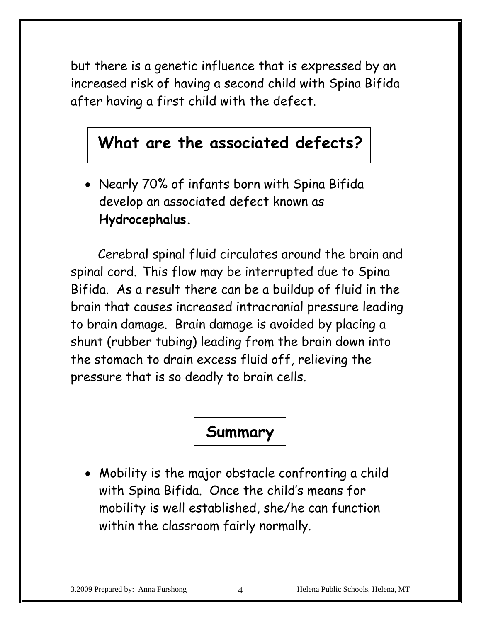but there is a genetic influence that is expressed by an increased risk of having a second child with Spina Bifida after having a first child with the defect.

## **What are the associated defects?**

• Nearly 70% of infants born with Spina Bifida develop an associated defect known as **Hydrocephalus.** 

Cerebral spinal fluid circulates around the brain and spinal cord. This flow may be interrupted due to Spina Bifida. As a result there can be a buildup of fluid in the brain that causes increased intracranial pressure leading to brain damage. Brain damage is avoided by placing a shunt (rubber tubing) leading from the brain down into the stomach to drain excess fluid off, relieving the pressure that is so deadly to brain cells.

## **Summary**

• Mobility is the major obstacle confronting a child with Spina Bifida. Once the child's means for mobility is well established, she/he can function within the classroom fairly normally.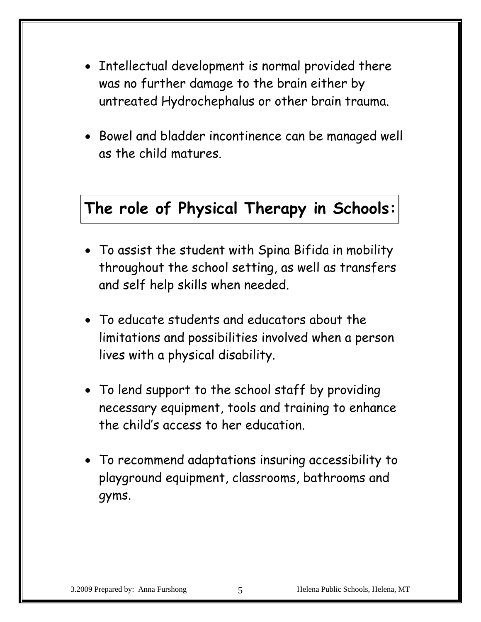- Intellectual development is normal provided there was no further damage to the brain either by untreated Hydrochephalus or other brain trauma.
- Bowel and bladder incontinence can be managed well as the child matures.

#### **The role of Physical Therapy in Schools:**

- To assist the student with Spina Bifida in mobility throughout the school setting, as well as transfers and self help skills when needed.
- To educate students and educators about the limitations and possibilities involved when a person lives with a physical disability.
- To lend support to the school staff by providing necessary equipment, tools and training to enhance the child's access to her education.
- To recommend adaptations insuring accessibility to playground equipment, classrooms, bathrooms and gyms.